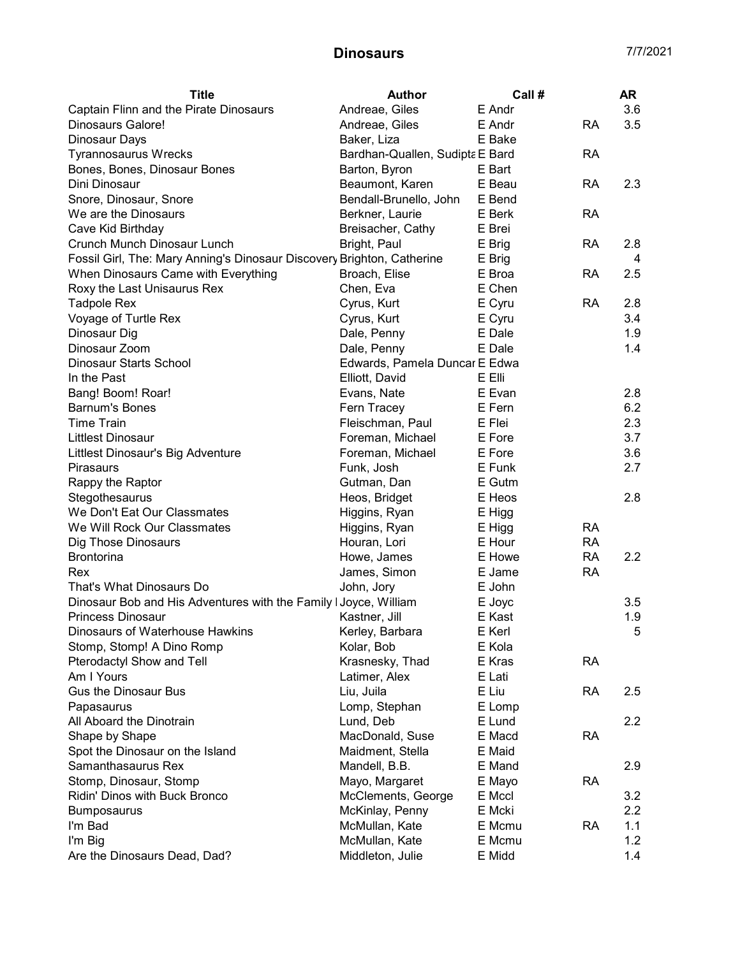| Andreae, Giles<br>3.6<br>Captain Flinn and the Pirate Dinosaurs<br>E Andr<br>3.5<br>Andreae, Giles<br>E Andr<br>Dinosaurs Galore!<br>RA<br>Baker, Liza<br>Dinosaur Days<br>E Bake<br>Tyrannosaurus Wrecks<br>Bardhan-Quallen, Sudipta E Bard<br><b>RA</b><br>Bones, Bones, Dinosaur Bones<br>Barton, Byron<br>E Bart<br>E Beau<br>2.3<br>Dini Dinosaur<br>Beaumont, Karen<br><b>RA</b><br>Bendall-Brunello, John<br>E Bend<br>Snore, Dinosaur, Snore<br>We are the Dinosaurs<br>Berkner, Laurie<br>E Berk<br>RA<br>Cave Kid Birthday<br>Breisacher, Cathy<br>E Brei<br>Crunch Munch Dinosaur Lunch<br>Bright, Paul<br>E Brig<br><b>RA</b><br>2.8<br>Fossil Girl, The: Mary Anning's Dinosaur Discovery Brighton, Catherine<br>E Brig<br>4 |
|-------------------------------------------------------------------------------------------------------------------------------------------------------------------------------------------------------------------------------------------------------------------------------------------------------------------------------------------------------------------------------------------------------------------------------------------------------------------------------------------------------------------------------------------------------------------------------------------------------------------------------------------------------------------------------------------------------------------------------------------|
|                                                                                                                                                                                                                                                                                                                                                                                                                                                                                                                                                                                                                                                                                                                                           |
|                                                                                                                                                                                                                                                                                                                                                                                                                                                                                                                                                                                                                                                                                                                                           |
|                                                                                                                                                                                                                                                                                                                                                                                                                                                                                                                                                                                                                                                                                                                                           |
|                                                                                                                                                                                                                                                                                                                                                                                                                                                                                                                                                                                                                                                                                                                                           |
|                                                                                                                                                                                                                                                                                                                                                                                                                                                                                                                                                                                                                                                                                                                                           |
|                                                                                                                                                                                                                                                                                                                                                                                                                                                                                                                                                                                                                                                                                                                                           |
|                                                                                                                                                                                                                                                                                                                                                                                                                                                                                                                                                                                                                                                                                                                                           |
|                                                                                                                                                                                                                                                                                                                                                                                                                                                                                                                                                                                                                                                                                                                                           |
|                                                                                                                                                                                                                                                                                                                                                                                                                                                                                                                                                                                                                                                                                                                                           |
|                                                                                                                                                                                                                                                                                                                                                                                                                                                                                                                                                                                                                                                                                                                                           |
|                                                                                                                                                                                                                                                                                                                                                                                                                                                                                                                                                                                                                                                                                                                                           |
| When Dinosaurs Came with Everything<br>Broach, Elise<br>E Broa<br>2.5<br>RA                                                                                                                                                                                                                                                                                                                                                                                                                                                                                                                                                                                                                                                               |
| E Chen<br>Roxy the Last Unisaurus Rex<br>Chen, Eva                                                                                                                                                                                                                                                                                                                                                                                                                                                                                                                                                                                                                                                                                        |
| E Cyru<br>Cyrus, Kurt<br><b>RA</b><br>2.8<br><b>Tadpole Rex</b>                                                                                                                                                                                                                                                                                                                                                                                                                                                                                                                                                                                                                                                                           |
| Voyage of Turtle Rex<br>Cyrus, Kurt<br>E Cyru<br>3.4                                                                                                                                                                                                                                                                                                                                                                                                                                                                                                                                                                                                                                                                                      |
| Dinosaur Dig<br>Dale, Penny<br>E Dale<br>1.9                                                                                                                                                                                                                                                                                                                                                                                                                                                                                                                                                                                                                                                                                              |
| Dinosaur Zoom<br>Dale, Penny<br>E Dale<br>1.4                                                                                                                                                                                                                                                                                                                                                                                                                                                                                                                                                                                                                                                                                             |
| Dinosaur Starts School<br>Edwards, Pamela Duncar E Edwa                                                                                                                                                                                                                                                                                                                                                                                                                                                                                                                                                                                                                                                                                   |
| In the Past<br>Elliott, David<br>E Elli                                                                                                                                                                                                                                                                                                                                                                                                                                                                                                                                                                                                                                                                                                   |
| Bang! Boom! Roar!<br>E Evan<br>2.8<br>Evans, Nate                                                                                                                                                                                                                                                                                                                                                                                                                                                                                                                                                                                                                                                                                         |
| 6.2<br><b>Barnum's Bones</b><br>Fern Tracey<br>E Fern                                                                                                                                                                                                                                                                                                                                                                                                                                                                                                                                                                                                                                                                                     |
| 2.3<br><b>Time Train</b><br>Fleischman, Paul<br>E Flei                                                                                                                                                                                                                                                                                                                                                                                                                                                                                                                                                                                                                                                                                    |
| 3.7<br><b>Littlest Dinosaur</b><br>E Fore<br>Foreman, Michael                                                                                                                                                                                                                                                                                                                                                                                                                                                                                                                                                                                                                                                                             |
| 3.6<br>Foreman, Michael<br>E Fore<br>Littlest Dinosaur's Big Adventure                                                                                                                                                                                                                                                                                                                                                                                                                                                                                                                                                                                                                                                                    |
| Funk, Josh<br>E Funk<br>2.7<br><b>Pirasaurs</b>                                                                                                                                                                                                                                                                                                                                                                                                                                                                                                                                                                                                                                                                                           |
| Rappy the Raptor<br>E Gutm<br>Gutman, Dan                                                                                                                                                                                                                                                                                                                                                                                                                                                                                                                                                                                                                                                                                                 |
| 2.8<br>Stegothesaurus<br>Heos, Bridget<br>E Heos                                                                                                                                                                                                                                                                                                                                                                                                                                                                                                                                                                                                                                                                                          |
| We Don't Eat Our Classmates<br>Higgins, Ryan<br>E Higg                                                                                                                                                                                                                                                                                                                                                                                                                                                                                                                                                                                                                                                                                    |
| We Will Rock Our Classmates<br><b>RA</b><br>Higgins, Ryan<br>E Higg                                                                                                                                                                                                                                                                                                                                                                                                                                                                                                                                                                                                                                                                       |
| E Hour<br><b>RA</b><br>Dig Those Dinosaurs<br>Houran, Lori                                                                                                                                                                                                                                                                                                                                                                                                                                                                                                                                                                                                                                                                                |
| <b>RA</b><br>2.2<br><b>Brontorina</b><br>Howe, James<br>E Howe                                                                                                                                                                                                                                                                                                                                                                                                                                                                                                                                                                                                                                                                            |
| <b>RA</b><br>James, Simon<br>E Jame<br>Rex                                                                                                                                                                                                                                                                                                                                                                                                                                                                                                                                                                                                                                                                                                |
| That's What Dinosaurs Do<br>John, Jory<br>E John                                                                                                                                                                                                                                                                                                                                                                                                                                                                                                                                                                                                                                                                                          |
| Dinosaur Bob and His Adventures with the Family I Joyce, William<br>E Joyc<br>3.5                                                                                                                                                                                                                                                                                                                                                                                                                                                                                                                                                                                                                                                         |
| <b>Princess Dinosaur</b><br>E Kast<br>1.9<br>Kastner, Jill                                                                                                                                                                                                                                                                                                                                                                                                                                                                                                                                                                                                                                                                                |
| Dinosaurs of Waterhouse Hawkins<br>Kerley, Barbara<br>E Kerl<br>5                                                                                                                                                                                                                                                                                                                                                                                                                                                                                                                                                                                                                                                                         |
| Stomp, Stomp! A Dino Romp<br>E Kola<br>Kolar, Bob                                                                                                                                                                                                                                                                                                                                                                                                                                                                                                                                                                                                                                                                                         |
| E Kras<br>Pterodactyl Show and Tell<br>Krasnesky, Thad<br><b>RA</b>                                                                                                                                                                                                                                                                                                                                                                                                                                                                                                                                                                                                                                                                       |
| Am I Yours<br>Latimer, Alex<br>E Lati                                                                                                                                                                                                                                                                                                                                                                                                                                                                                                                                                                                                                                                                                                     |
| <b>Gus the Dinosaur Bus</b><br>Liu, Juila<br>E Liu<br><b>RA</b><br>2.5                                                                                                                                                                                                                                                                                                                                                                                                                                                                                                                                                                                                                                                                    |
| Lomp, Stephan<br>Papasaurus<br>E Lomp                                                                                                                                                                                                                                                                                                                                                                                                                                                                                                                                                                                                                                                                                                     |
| All Aboard the Dinotrain<br>Lund, Deb<br>E Lund<br>2.2                                                                                                                                                                                                                                                                                                                                                                                                                                                                                                                                                                                                                                                                                    |
| Shape by Shape<br>MacDonald, Suse<br>E Macd<br><b>RA</b>                                                                                                                                                                                                                                                                                                                                                                                                                                                                                                                                                                                                                                                                                  |
| Spot the Dinosaur on the Island<br>Maidment, Stella<br>E Maid                                                                                                                                                                                                                                                                                                                                                                                                                                                                                                                                                                                                                                                                             |
| Samanthasaurus Rex<br>2.9<br>Mandell, B.B.<br>E Mand                                                                                                                                                                                                                                                                                                                                                                                                                                                                                                                                                                                                                                                                                      |
| <b>RA</b><br>Stomp, Dinosaur, Stomp<br>Mayo, Margaret<br>E Mayo                                                                                                                                                                                                                                                                                                                                                                                                                                                                                                                                                                                                                                                                           |
| Ridin' Dinos with Buck Bronco<br>McClements, George<br>E Mccl<br>3.2                                                                                                                                                                                                                                                                                                                                                                                                                                                                                                                                                                                                                                                                      |
| McKinlay, Penny<br>E Mcki<br>2.2<br>Bumposaurus                                                                                                                                                                                                                                                                                                                                                                                                                                                                                                                                                                                                                                                                                           |
| 1.1<br>I'm Bad<br>McMullan, Kate<br>E Mcmu<br><b>RA</b>                                                                                                                                                                                                                                                                                                                                                                                                                                                                                                                                                                                                                                                                                   |
| 1.2<br>I'm Big<br>McMullan, Kate<br>E Mcmu                                                                                                                                                                                                                                                                                                                                                                                                                                                                                                                                                                                                                                                                                                |
| Are the Dinosaurs Dead, Dad?<br>Middleton, Julie<br>E Midd<br>1.4                                                                                                                                                                                                                                                                                                                                                                                                                                                                                                                                                                                                                                                                         |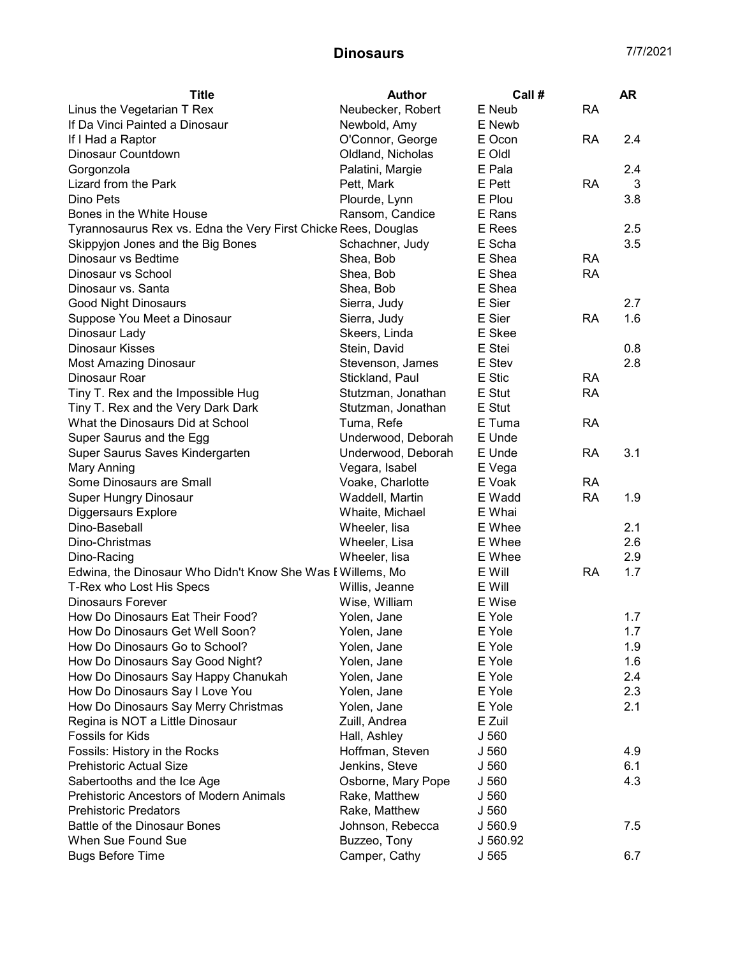| Neubecker, Robert<br>Linus the Vegetarian T Rex<br>E Neub<br><b>RA</b><br>If Da Vinci Painted a Dinosaur<br>E Newb<br>Newbold, Amy<br>O'Connor, George<br>E Ocon<br><b>RA</b><br>2.4<br>If I Had a Raptor<br>Dinosaur Countdown<br>Oldland, Nicholas<br>E Oldl<br>E Pala<br>2.4<br>Gorgonzola<br>Palatini, Margie<br>Lizard from the Park<br>Pett, Mark<br>E Pett<br><b>RA</b><br>3<br>Dino Pets<br>Plourde, Lynn<br>E Plou<br>3.8<br>Bones in the White House<br>Ransom, Candice<br>E Rans<br>Tyrannosaurus Rex vs. Edna the Very First Chicke Rees, Douglas<br>E Rees<br>2.5<br>3.5<br>Skippyjon Jones and the Big Bones<br>Schachner, Judy<br>E Scha<br>E Shea<br>Dinosaur vs Bedtime<br>Shea, Bob<br><b>RA</b><br>Dinosaur vs School<br>E Shea<br>Shea, Bob<br><b>RA</b><br>E Shea<br>Dinosaur vs. Santa<br>Shea, Bob<br>E Sier<br>2.7<br>Good Night Dinosaurs<br>Sierra, Judy<br>E Sier<br>Suppose You Meet a Dinosaur<br>Sierra, Judy<br><b>RA</b><br>1.6<br>Dinosaur Lady<br>E Skee<br>Skeers, Linda<br>E Stei<br><b>Dinosaur Kisses</b><br>Stein, David<br>0.8<br><b>Most Amazing Dinosaur</b><br>E Stev<br>2.8<br>Stevenson, James<br>E Stic<br>Dinosaur Roar<br>Stickland, Paul<br><b>RA</b><br>Tiny T. Rex and the Impossible Hug<br>Stutzman, Jonathan<br>E Stut<br><b>RA</b><br>E Stut<br>Tiny T. Rex and the Very Dark Dark<br>Stutzman, Jonathan<br>E Tuma<br><b>RA</b><br>What the Dinosaurs Did at School<br>Tuma, Refe<br>Super Saurus and the Egg<br>Underwood, Deborah<br>E Unde<br>Super Saurus Saves Kindergarten<br>Underwood, Deborah<br>E Unde<br><b>RA</b><br>3.1<br>Vegara, Isabel<br>Mary Anning<br>E Vega<br>Some Dinosaurs are Small<br>Voake, Charlotte<br>E Voak<br><b>RA</b><br><b>RA</b><br>Waddell, Martin<br>1.9<br><b>Super Hungry Dinosaur</b><br>E Wadd<br>Diggersaurs Explore<br>E Whai<br>Whaite, Michael<br>Dino-Baseball<br>Wheeler, lisa<br>E Whee<br>2.1<br>2.6<br>Dino-Christmas<br>Wheeler, Lisa<br>E Whee<br>Dino-Racing<br>Wheeler, lisa<br>E Whee<br>2.9<br>Edwina, the Dinosaur Who Didn't Know She Was I Willems, Mo<br>E Will<br><b>RA</b><br>1.7<br>T-Rex who Lost His Specs<br>E Will<br>Willis, Jeanne<br><b>Dinosaurs Forever</b><br>Wise, William<br>E Wise<br>How Do Dinosaurs Eat Their Food?<br>E Yole<br>1.7<br>Yolen, Jane<br>1.7<br>E Yole<br>How Do Dinosaurs Get Well Soon?<br>Yolen, Jane<br>How Do Dinosaurs Go to School?<br>E Yole<br>1.9<br>Yolen, Jane<br>1.6<br>How Do Dinosaurs Say Good Night?<br>Yolen, Jane<br>E Yole<br>2.4<br>How Do Dinosaurs Say Happy Chanukah<br>Yolen, Jane<br>E Yole<br>How Do Dinosaurs Say I Love You<br>2.3<br>Yolen, Jane<br>E Yole<br>How Do Dinosaurs Say Merry Christmas<br>2.1<br>Yolen, Jane<br>E Yole<br>E Zuil<br>Regina is NOT a Little Dinosaur<br>Zuill, Andrea<br>Fossils for Kids<br>Hall, Ashley<br>J 560<br>4.9<br>Fossils: History in the Rocks<br>Hoffman, Steven<br>J 560<br><b>Prehistoric Actual Size</b><br>Jenkins, Steve<br>J 560<br>6.1<br>Sabertooths and the Ice Age<br>Osborne, Mary Pope<br>J 560<br>4.3<br><b>Prehistoric Ancestors of Modern Animals</b><br>Rake, Matthew<br>J 560<br><b>Prehistoric Predators</b><br>Rake, Matthew<br>J 560<br>Battle of the Dinosaur Bones<br>7.5<br>Johnson, Rebecca<br>J 560.9<br>When Sue Found Sue<br>Buzzeo, Tony<br>J 560.92 | <b>Title</b>            | <b>Author</b> | Call # | <b>AR</b> |
|------------------------------------------------------------------------------------------------------------------------------------------------------------------------------------------------------------------------------------------------------------------------------------------------------------------------------------------------------------------------------------------------------------------------------------------------------------------------------------------------------------------------------------------------------------------------------------------------------------------------------------------------------------------------------------------------------------------------------------------------------------------------------------------------------------------------------------------------------------------------------------------------------------------------------------------------------------------------------------------------------------------------------------------------------------------------------------------------------------------------------------------------------------------------------------------------------------------------------------------------------------------------------------------------------------------------------------------------------------------------------------------------------------------------------------------------------------------------------------------------------------------------------------------------------------------------------------------------------------------------------------------------------------------------------------------------------------------------------------------------------------------------------------------------------------------------------------------------------------------------------------------------------------------------------------------------------------------------------------------------------------------------------------------------------------------------------------------------------------------------------------------------------------------------------------------------------------------------------------------------------------------------------------------------------------------------------------------------------------------------------------------------------------------------------------------------------------------------------------------------------------------------------------------------------------------------------------------------------------------------------------------------------------------------------------------------------------------------------------------------------------------------------------------------------------------------------------------------------------------------------------------------------------------------------------------------------------------------------------------------------------------------------------------------------------------------------------------------------------------------------------------------------------------------------------------------------------------------------------------------------------------------------------------------------------|-------------------------|---------------|--------|-----------|
|                                                                                                                                                                                                                                                                                                                                                                                                                                                                                                                                                                                                                                                                                                                                                                                                                                                                                                                                                                                                                                                                                                                                                                                                                                                                                                                                                                                                                                                                                                                                                                                                                                                                                                                                                                                                                                                                                                                                                                                                                                                                                                                                                                                                                                                                                                                                                                                                                                                                                                                                                                                                                                                                                                                                                                                                                                                                                                                                                                                                                                                                                                                                                                                                                                                                                                            |                         |               |        |           |
|                                                                                                                                                                                                                                                                                                                                                                                                                                                                                                                                                                                                                                                                                                                                                                                                                                                                                                                                                                                                                                                                                                                                                                                                                                                                                                                                                                                                                                                                                                                                                                                                                                                                                                                                                                                                                                                                                                                                                                                                                                                                                                                                                                                                                                                                                                                                                                                                                                                                                                                                                                                                                                                                                                                                                                                                                                                                                                                                                                                                                                                                                                                                                                                                                                                                                                            |                         |               |        |           |
|                                                                                                                                                                                                                                                                                                                                                                                                                                                                                                                                                                                                                                                                                                                                                                                                                                                                                                                                                                                                                                                                                                                                                                                                                                                                                                                                                                                                                                                                                                                                                                                                                                                                                                                                                                                                                                                                                                                                                                                                                                                                                                                                                                                                                                                                                                                                                                                                                                                                                                                                                                                                                                                                                                                                                                                                                                                                                                                                                                                                                                                                                                                                                                                                                                                                                                            |                         |               |        |           |
|                                                                                                                                                                                                                                                                                                                                                                                                                                                                                                                                                                                                                                                                                                                                                                                                                                                                                                                                                                                                                                                                                                                                                                                                                                                                                                                                                                                                                                                                                                                                                                                                                                                                                                                                                                                                                                                                                                                                                                                                                                                                                                                                                                                                                                                                                                                                                                                                                                                                                                                                                                                                                                                                                                                                                                                                                                                                                                                                                                                                                                                                                                                                                                                                                                                                                                            |                         |               |        |           |
|                                                                                                                                                                                                                                                                                                                                                                                                                                                                                                                                                                                                                                                                                                                                                                                                                                                                                                                                                                                                                                                                                                                                                                                                                                                                                                                                                                                                                                                                                                                                                                                                                                                                                                                                                                                                                                                                                                                                                                                                                                                                                                                                                                                                                                                                                                                                                                                                                                                                                                                                                                                                                                                                                                                                                                                                                                                                                                                                                                                                                                                                                                                                                                                                                                                                                                            |                         |               |        |           |
|                                                                                                                                                                                                                                                                                                                                                                                                                                                                                                                                                                                                                                                                                                                                                                                                                                                                                                                                                                                                                                                                                                                                                                                                                                                                                                                                                                                                                                                                                                                                                                                                                                                                                                                                                                                                                                                                                                                                                                                                                                                                                                                                                                                                                                                                                                                                                                                                                                                                                                                                                                                                                                                                                                                                                                                                                                                                                                                                                                                                                                                                                                                                                                                                                                                                                                            |                         |               |        |           |
|                                                                                                                                                                                                                                                                                                                                                                                                                                                                                                                                                                                                                                                                                                                                                                                                                                                                                                                                                                                                                                                                                                                                                                                                                                                                                                                                                                                                                                                                                                                                                                                                                                                                                                                                                                                                                                                                                                                                                                                                                                                                                                                                                                                                                                                                                                                                                                                                                                                                                                                                                                                                                                                                                                                                                                                                                                                                                                                                                                                                                                                                                                                                                                                                                                                                                                            |                         |               |        |           |
|                                                                                                                                                                                                                                                                                                                                                                                                                                                                                                                                                                                                                                                                                                                                                                                                                                                                                                                                                                                                                                                                                                                                                                                                                                                                                                                                                                                                                                                                                                                                                                                                                                                                                                                                                                                                                                                                                                                                                                                                                                                                                                                                                                                                                                                                                                                                                                                                                                                                                                                                                                                                                                                                                                                                                                                                                                                                                                                                                                                                                                                                                                                                                                                                                                                                                                            |                         |               |        |           |
|                                                                                                                                                                                                                                                                                                                                                                                                                                                                                                                                                                                                                                                                                                                                                                                                                                                                                                                                                                                                                                                                                                                                                                                                                                                                                                                                                                                                                                                                                                                                                                                                                                                                                                                                                                                                                                                                                                                                                                                                                                                                                                                                                                                                                                                                                                                                                                                                                                                                                                                                                                                                                                                                                                                                                                                                                                                                                                                                                                                                                                                                                                                                                                                                                                                                                                            |                         |               |        |           |
|                                                                                                                                                                                                                                                                                                                                                                                                                                                                                                                                                                                                                                                                                                                                                                                                                                                                                                                                                                                                                                                                                                                                                                                                                                                                                                                                                                                                                                                                                                                                                                                                                                                                                                                                                                                                                                                                                                                                                                                                                                                                                                                                                                                                                                                                                                                                                                                                                                                                                                                                                                                                                                                                                                                                                                                                                                                                                                                                                                                                                                                                                                                                                                                                                                                                                                            |                         |               |        |           |
|                                                                                                                                                                                                                                                                                                                                                                                                                                                                                                                                                                                                                                                                                                                                                                                                                                                                                                                                                                                                                                                                                                                                                                                                                                                                                                                                                                                                                                                                                                                                                                                                                                                                                                                                                                                                                                                                                                                                                                                                                                                                                                                                                                                                                                                                                                                                                                                                                                                                                                                                                                                                                                                                                                                                                                                                                                                                                                                                                                                                                                                                                                                                                                                                                                                                                                            |                         |               |        |           |
|                                                                                                                                                                                                                                                                                                                                                                                                                                                                                                                                                                                                                                                                                                                                                                                                                                                                                                                                                                                                                                                                                                                                                                                                                                                                                                                                                                                                                                                                                                                                                                                                                                                                                                                                                                                                                                                                                                                                                                                                                                                                                                                                                                                                                                                                                                                                                                                                                                                                                                                                                                                                                                                                                                                                                                                                                                                                                                                                                                                                                                                                                                                                                                                                                                                                                                            |                         |               |        |           |
|                                                                                                                                                                                                                                                                                                                                                                                                                                                                                                                                                                                                                                                                                                                                                                                                                                                                                                                                                                                                                                                                                                                                                                                                                                                                                                                                                                                                                                                                                                                                                                                                                                                                                                                                                                                                                                                                                                                                                                                                                                                                                                                                                                                                                                                                                                                                                                                                                                                                                                                                                                                                                                                                                                                                                                                                                                                                                                                                                                                                                                                                                                                                                                                                                                                                                                            |                         |               |        |           |
|                                                                                                                                                                                                                                                                                                                                                                                                                                                                                                                                                                                                                                                                                                                                                                                                                                                                                                                                                                                                                                                                                                                                                                                                                                                                                                                                                                                                                                                                                                                                                                                                                                                                                                                                                                                                                                                                                                                                                                                                                                                                                                                                                                                                                                                                                                                                                                                                                                                                                                                                                                                                                                                                                                                                                                                                                                                                                                                                                                                                                                                                                                                                                                                                                                                                                                            |                         |               |        |           |
|                                                                                                                                                                                                                                                                                                                                                                                                                                                                                                                                                                                                                                                                                                                                                                                                                                                                                                                                                                                                                                                                                                                                                                                                                                                                                                                                                                                                                                                                                                                                                                                                                                                                                                                                                                                                                                                                                                                                                                                                                                                                                                                                                                                                                                                                                                                                                                                                                                                                                                                                                                                                                                                                                                                                                                                                                                                                                                                                                                                                                                                                                                                                                                                                                                                                                                            |                         |               |        |           |
|                                                                                                                                                                                                                                                                                                                                                                                                                                                                                                                                                                                                                                                                                                                                                                                                                                                                                                                                                                                                                                                                                                                                                                                                                                                                                                                                                                                                                                                                                                                                                                                                                                                                                                                                                                                                                                                                                                                                                                                                                                                                                                                                                                                                                                                                                                                                                                                                                                                                                                                                                                                                                                                                                                                                                                                                                                                                                                                                                                                                                                                                                                                                                                                                                                                                                                            |                         |               |        |           |
|                                                                                                                                                                                                                                                                                                                                                                                                                                                                                                                                                                                                                                                                                                                                                                                                                                                                                                                                                                                                                                                                                                                                                                                                                                                                                                                                                                                                                                                                                                                                                                                                                                                                                                                                                                                                                                                                                                                                                                                                                                                                                                                                                                                                                                                                                                                                                                                                                                                                                                                                                                                                                                                                                                                                                                                                                                                                                                                                                                                                                                                                                                                                                                                                                                                                                                            |                         |               |        |           |
|                                                                                                                                                                                                                                                                                                                                                                                                                                                                                                                                                                                                                                                                                                                                                                                                                                                                                                                                                                                                                                                                                                                                                                                                                                                                                                                                                                                                                                                                                                                                                                                                                                                                                                                                                                                                                                                                                                                                                                                                                                                                                                                                                                                                                                                                                                                                                                                                                                                                                                                                                                                                                                                                                                                                                                                                                                                                                                                                                                                                                                                                                                                                                                                                                                                                                                            |                         |               |        |           |
|                                                                                                                                                                                                                                                                                                                                                                                                                                                                                                                                                                                                                                                                                                                                                                                                                                                                                                                                                                                                                                                                                                                                                                                                                                                                                                                                                                                                                                                                                                                                                                                                                                                                                                                                                                                                                                                                                                                                                                                                                                                                                                                                                                                                                                                                                                                                                                                                                                                                                                                                                                                                                                                                                                                                                                                                                                                                                                                                                                                                                                                                                                                                                                                                                                                                                                            |                         |               |        |           |
|                                                                                                                                                                                                                                                                                                                                                                                                                                                                                                                                                                                                                                                                                                                                                                                                                                                                                                                                                                                                                                                                                                                                                                                                                                                                                                                                                                                                                                                                                                                                                                                                                                                                                                                                                                                                                                                                                                                                                                                                                                                                                                                                                                                                                                                                                                                                                                                                                                                                                                                                                                                                                                                                                                                                                                                                                                                                                                                                                                                                                                                                                                                                                                                                                                                                                                            |                         |               |        |           |
|                                                                                                                                                                                                                                                                                                                                                                                                                                                                                                                                                                                                                                                                                                                                                                                                                                                                                                                                                                                                                                                                                                                                                                                                                                                                                                                                                                                                                                                                                                                                                                                                                                                                                                                                                                                                                                                                                                                                                                                                                                                                                                                                                                                                                                                                                                                                                                                                                                                                                                                                                                                                                                                                                                                                                                                                                                                                                                                                                                                                                                                                                                                                                                                                                                                                                                            |                         |               |        |           |
|                                                                                                                                                                                                                                                                                                                                                                                                                                                                                                                                                                                                                                                                                                                                                                                                                                                                                                                                                                                                                                                                                                                                                                                                                                                                                                                                                                                                                                                                                                                                                                                                                                                                                                                                                                                                                                                                                                                                                                                                                                                                                                                                                                                                                                                                                                                                                                                                                                                                                                                                                                                                                                                                                                                                                                                                                                                                                                                                                                                                                                                                                                                                                                                                                                                                                                            |                         |               |        |           |
|                                                                                                                                                                                                                                                                                                                                                                                                                                                                                                                                                                                                                                                                                                                                                                                                                                                                                                                                                                                                                                                                                                                                                                                                                                                                                                                                                                                                                                                                                                                                                                                                                                                                                                                                                                                                                                                                                                                                                                                                                                                                                                                                                                                                                                                                                                                                                                                                                                                                                                                                                                                                                                                                                                                                                                                                                                                                                                                                                                                                                                                                                                                                                                                                                                                                                                            |                         |               |        |           |
|                                                                                                                                                                                                                                                                                                                                                                                                                                                                                                                                                                                                                                                                                                                                                                                                                                                                                                                                                                                                                                                                                                                                                                                                                                                                                                                                                                                                                                                                                                                                                                                                                                                                                                                                                                                                                                                                                                                                                                                                                                                                                                                                                                                                                                                                                                                                                                                                                                                                                                                                                                                                                                                                                                                                                                                                                                                                                                                                                                                                                                                                                                                                                                                                                                                                                                            |                         |               |        |           |
|                                                                                                                                                                                                                                                                                                                                                                                                                                                                                                                                                                                                                                                                                                                                                                                                                                                                                                                                                                                                                                                                                                                                                                                                                                                                                                                                                                                                                                                                                                                                                                                                                                                                                                                                                                                                                                                                                                                                                                                                                                                                                                                                                                                                                                                                                                                                                                                                                                                                                                                                                                                                                                                                                                                                                                                                                                                                                                                                                                                                                                                                                                                                                                                                                                                                                                            |                         |               |        |           |
|                                                                                                                                                                                                                                                                                                                                                                                                                                                                                                                                                                                                                                                                                                                                                                                                                                                                                                                                                                                                                                                                                                                                                                                                                                                                                                                                                                                                                                                                                                                                                                                                                                                                                                                                                                                                                                                                                                                                                                                                                                                                                                                                                                                                                                                                                                                                                                                                                                                                                                                                                                                                                                                                                                                                                                                                                                                                                                                                                                                                                                                                                                                                                                                                                                                                                                            |                         |               |        |           |
|                                                                                                                                                                                                                                                                                                                                                                                                                                                                                                                                                                                                                                                                                                                                                                                                                                                                                                                                                                                                                                                                                                                                                                                                                                                                                                                                                                                                                                                                                                                                                                                                                                                                                                                                                                                                                                                                                                                                                                                                                                                                                                                                                                                                                                                                                                                                                                                                                                                                                                                                                                                                                                                                                                                                                                                                                                                                                                                                                                                                                                                                                                                                                                                                                                                                                                            |                         |               |        |           |
|                                                                                                                                                                                                                                                                                                                                                                                                                                                                                                                                                                                                                                                                                                                                                                                                                                                                                                                                                                                                                                                                                                                                                                                                                                                                                                                                                                                                                                                                                                                                                                                                                                                                                                                                                                                                                                                                                                                                                                                                                                                                                                                                                                                                                                                                                                                                                                                                                                                                                                                                                                                                                                                                                                                                                                                                                                                                                                                                                                                                                                                                                                                                                                                                                                                                                                            |                         |               |        |           |
|                                                                                                                                                                                                                                                                                                                                                                                                                                                                                                                                                                                                                                                                                                                                                                                                                                                                                                                                                                                                                                                                                                                                                                                                                                                                                                                                                                                                                                                                                                                                                                                                                                                                                                                                                                                                                                                                                                                                                                                                                                                                                                                                                                                                                                                                                                                                                                                                                                                                                                                                                                                                                                                                                                                                                                                                                                                                                                                                                                                                                                                                                                                                                                                                                                                                                                            |                         |               |        |           |
|                                                                                                                                                                                                                                                                                                                                                                                                                                                                                                                                                                                                                                                                                                                                                                                                                                                                                                                                                                                                                                                                                                                                                                                                                                                                                                                                                                                                                                                                                                                                                                                                                                                                                                                                                                                                                                                                                                                                                                                                                                                                                                                                                                                                                                                                                                                                                                                                                                                                                                                                                                                                                                                                                                                                                                                                                                                                                                                                                                                                                                                                                                                                                                                                                                                                                                            |                         |               |        |           |
|                                                                                                                                                                                                                                                                                                                                                                                                                                                                                                                                                                                                                                                                                                                                                                                                                                                                                                                                                                                                                                                                                                                                                                                                                                                                                                                                                                                                                                                                                                                                                                                                                                                                                                                                                                                                                                                                                                                                                                                                                                                                                                                                                                                                                                                                                                                                                                                                                                                                                                                                                                                                                                                                                                                                                                                                                                                                                                                                                                                                                                                                                                                                                                                                                                                                                                            |                         |               |        |           |
|                                                                                                                                                                                                                                                                                                                                                                                                                                                                                                                                                                                                                                                                                                                                                                                                                                                                                                                                                                                                                                                                                                                                                                                                                                                                                                                                                                                                                                                                                                                                                                                                                                                                                                                                                                                                                                                                                                                                                                                                                                                                                                                                                                                                                                                                                                                                                                                                                                                                                                                                                                                                                                                                                                                                                                                                                                                                                                                                                                                                                                                                                                                                                                                                                                                                                                            |                         |               |        |           |
|                                                                                                                                                                                                                                                                                                                                                                                                                                                                                                                                                                                                                                                                                                                                                                                                                                                                                                                                                                                                                                                                                                                                                                                                                                                                                                                                                                                                                                                                                                                                                                                                                                                                                                                                                                                                                                                                                                                                                                                                                                                                                                                                                                                                                                                                                                                                                                                                                                                                                                                                                                                                                                                                                                                                                                                                                                                                                                                                                                                                                                                                                                                                                                                                                                                                                                            |                         |               |        |           |
|                                                                                                                                                                                                                                                                                                                                                                                                                                                                                                                                                                                                                                                                                                                                                                                                                                                                                                                                                                                                                                                                                                                                                                                                                                                                                                                                                                                                                                                                                                                                                                                                                                                                                                                                                                                                                                                                                                                                                                                                                                                                                                                                                                                                                                                                                                                                                                                                                                                                                                                                                                                                                                                                                                                                                                                                                                                                                                                                                                                                                                                                                                                                                                                                                                                                                                            |                         |               |        |           |
|                                                                                                                                                                                                                                                                                                                                                                                                                                                                                                                                                                                                                                                                                                                                                                                                                                                                                                                                                                                                                                                                                                                                                                                                                                                                                                                                                                                                                                                                                                                                                                                                                                                                                                                                                                                                                                                                                                                                                                                                                                                                                                                                                                                                                                                                                                                                                                                                                                                                                                                                                                                                                                                                                                                                                                                                                                                                                                                                                                                                                                                                                                                                                                                                                                                                                                            |                         |               |        |           |
|                                                                                                                                                                                                                                                                                                                                                                                                                                                                                                                                                                                                                                                                                                                                                                                                                                                                                                                                                                                                                                                                                                                                                                                                                                                                                                                                                                                                                                                                                                                                                                                                                                                                                                                                                                                                                                                                                                                                                                                                                                                                                                                                                                                                                                                                                                                                                                                                                                                                                                                                                                                                                                                                                                                                                                                                                                                                                                                                                                                                                                                                                                                                                                                                                                                                                                            |                         |               |        |           |
|                                                                                                                                                                                                                                                                                                                                                                                                                                                                                                                                                                                                                                                                                                                                                                                                                                                                                                                                                                                                                                                                                                                                                                                                                                                                                                                                                                                                                                                                                                                                                                                                                                                                                                                                                                                                                                                                                                                                                                                                                                                                                                                                                                                                                                                                                                                                                                                                                                                                                                                                                                                                                                                                                                                                                                                                                                                                                                                                                                                                                                                                                                                                                                                                                                                                                                            |                         |               |        |           |
|                                                                                                                                                                                                                                                                                                                                                                                                                                                                                                                                                                                                                                                                                                                                                                                                                                                                                                                                                                                                                                                                                                                                                                                                                                                                                                                                                                                                                                                                                                                                                                                                                                                                                                                                                                                                                                                                                                                                                                                                                                                                                                                                                                                                                                                                                                                                                                                                                                                                                                                                                                                                                                                                                                                                                                                                                                                                                                                                                                                                                                                                                                                                                                                                                                                                                                            |                         |               |        |           |
|                                                                                                                                                                                                                                                                                                                                                                                                                                                                                                                                                                                                                                                                                                                                                                                                                                                                                                                                                                                                                                                                                                                                                                                                                                                                                                                                                                                                                                                                                                                                                                                                                                                                                                                                                                                                                                                                                                                                                                                                                                                                                                                                                                                                                                                                                                                                                                                                                                                                                                                                                                                                                                                                                                                                                                                                                                                                                                                                                                                                                                                                                                                                                                                                                                                                                                            |                         |               |        |           |
|                                                                                                                                                                                                                                                                                                                                                                                                                                                                                                                                                                                                                                                                                                                                                                                                                                                                                                                                                                                                                                                                                                                                                                                                                                                                                                                                                                                                                                                                                                                                                                                                                                                                                                                                                                                                                                                                                                                                                                                                                                                                                                                                                                                                                                                                                                                                                                                                                                                                                                                                                                                                                                                                                                                                                                                                                                                                                                                                                                                                                                                                                                                                                                                                                                                                                                            |                         |               |        |           |
|                                                                                                                                                                                                                                                                                                                                                                                                                                                                                                                                                                                                                                                                                                                                                                                                                                                                                                                                                                                                                                                                                                                                                                                                                                                                                                                                                                                                                                                                                                                                                                                                                                                                                                                                                                                                                                                                                                                                                                                                                                                                                                                                                                                                                                                                                                                                                                                                                                                                                                                                                                                                                                                                                                                                                                                                                                                                                                                                                                                                                                                                                                                                                                                                                                                                                                            |                         |               |        |           |
|                                                                                                                                                                                                                                                                                                                                                                                                                                                                                                                                                                                                                                                                                                                                                                                                                                                                                                                                                                                                                                                                                                                                                                                                                                                                                                                                                                                                                                                                                                                                                                                                                                                                                                                                                                                                                                                                                                                                                                                                                                                                                                                                                                                                                                                                                                                                                                                                                                                                                                                                                                                                                                                                                                                                                                                                                                                                                                                                                                                                                                                                                                                                                                                                                                                                                                            |                         |               |        |           |
|                                                                                                                                                                                                                                                                                                                                                                                                                                                                                                                                                                                                                                                                                                                                                                                                                                                                                                                                                                                                                                                                                                                                                                                                                                                                                                                                                                                                                                                                                                                                                                                                                                                                                                                                                                                                                                                                                                                                                                                                                                                                                                                                                                                                                                                                                                                                                                                                                                                                                                                                                                                                                                                                                                                                                                                                                                                                                                                                                                                                                                                                                                                                                                                                                                                                                                            |                         |               |        |           |
|                                                                                                                                                                                                                                                                                                                                                                                                                                                                                                                                                                                                                                                                                                                                                                                                                                                                                                                                                                                                                                                                                                                                                                                                                                                                                                                                                                                                                                                                                                                                                                                                                                                                                                                                                                                                                                                                                                                                                                                                                                                                                                                                                                                                                                                                                                                                                                                                                                                                                                                                                                                                                                                                                                                                                                                                                                                                                                                                                                                                                                                                                                                                                                                                                                                                                                            |                         |               |        |           |
|                                                                                                                                                                                                                                                                                                                                                                                                                                                                                                                                                                                                                                                                                                                                                                                                                                                                                                                                                                                                                                                                                                                                                                                                                                                                                                                                                                                                                                                                                                                                                                                                                                                                                                                                                                                                                                                                                                                                                                                                                                                                                                                                                                                                                                                                                                                                                                                                                                                                                                                                                                                                                                                                                                                                                                                                                                                                                                                                                                                                                                                                                                                                                                                                                                                                                                            |                         |               |        |           |
|                                                                                                                                                                                                                                                                                                                                                                                                                                                                                                                                                                                                                                                                                                                                                                                                                                                                                                                                                                                                                                                                                                                                                                                                                                                                                                                                                                                                                                                                                                                                                                                                                                                                                                                                                                                                                                                                                                                                                                                                                                                                                                                                                                                                                                                                                                                                                                                                                                                                                                                                                                                                                                                                                                                                                                                                                                                                                                                                                                                                                                                                                                                                                                                                                                                                                                            |                         |               |        |           |
|                                                                                                                                                                                                                                                                                                                                                                                                                                                                                                                                                                                                                                                                                                                                                                                                                                                                                                                                                                                                                                                                                                                                                                                                                                                                                                                                                                                                                                                                                                                                                                                                                                                                                                                                                                                                                                                                                                                                                                                                                                                                                                                                                                                                                                                                                                                                                                                                                                                                                                                                                                                                                                                                                                                                                                                                                                                                                                                                                                                                                                                                                                                                                                                                                                                                                                            |                         |               |        |           |
|                                                                                                                                                                                                                                                                                                                                                                                                                                                                                                                                                                                                                                                                                                                                                                                                                                                                                                                                                                                                                                                                                                                                                                                                                                                                                                                                                                                                                                                                                                                                                                                                                                                                                                                                                                                                                                                                                                                                                                                                                                                                                                                                                                                                                                                                                                                                                                                                                                                                                                                                                                                                                                                                                                                                                                                                                                                                                                                                                                                                                                                                                                                                                                                                                                                                                                            |                         |               |        |           |
|                                                                                                                                                                                                                                                                                                                                                                                                                                                                                                                                                                                                                                                                                                                                                                                                                                                                                                                                                                                                                                                                                                                                                                                                                                                                                                                                                                                                                                                                                                                                                                                                                                                                                                                                                                                                                                                                                                                                                                                                                                                                                                                                                                                                                                                                                                                                                                                                                                                                                                                                                                                                                                                                                                                                                                                                                                                                                                                                                                                                                                                                                                                                                                                                                                                                                                            |                         |               |        |           |
|                                                                                                                                                                                                                                                                                                                                                                                                                                                                                                                                                                                                                                                                                                                                                                                                                                                                                                                                                                                                                                                                                                                                                                                                                                                                                                                                                                                                                                                                                                                                                                                                                                                                                                                                                                                                                                                                                                                                                                                                                                                                                                                                                                                                                                                                                                                                                                                                                                                                                                                                                                                                                                                                                                                                                                                                                                                                                                                                                                                                                                                                                                                                                                                                                                                                                                            |                         |               |        |           |
|                                                                                                                                                                                                                                                                                                                                                                                                                                                                                                                                                                                                                                                                                                                                                                                                                                                                                                                                                                                                                                                                                                                                                                                                                                                                                                                                                                                                                                                                                                                                                                                                                                                                                                                                                                                                                                                                                                                                                                                                                                                                                                                                                                                                                                                                                                                                                                                                                                                                                                                                                                                                                                                                                                                                                                                                                                                                                                                                                                                                                                                                                                                                                                                                                                                                                                            | <b>Bugs Before Time</b> | Camper, Cathy | J 565  | 6.7       |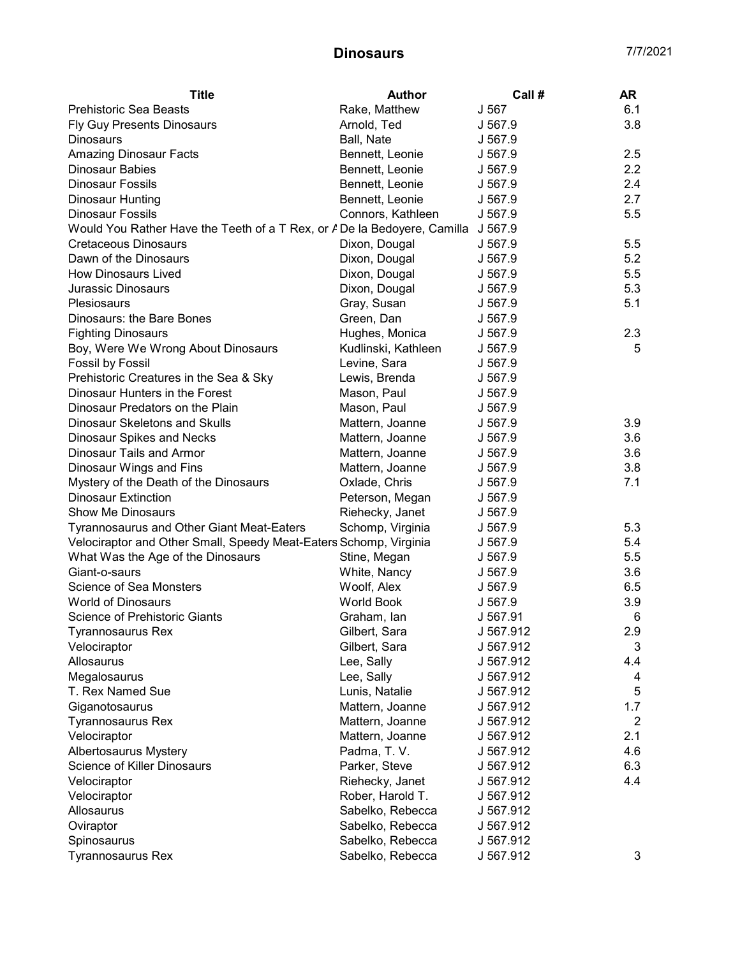| <b>Title</b>                                                                     | <b>Author</b>       | Call #    | AR             |
|----------------------------------------------------------------------------------|---------------------|-----------|----------------|
| Prehistoric Sea Beasts                                                           | Rake, Matthew       | J 567     | 6.1            |
| <b>Fly Guy Presents Dinosaurs</b>                                                | Arnold, Ted         | J 567.9   | 3.8            |
| <b>Dinosaurs</b>                                                                 | Ball, Nate          | J 567.9   |                |
| <b>Amazing Dinosaur Facts</b>                                                    | Bennett, Leonie     | J 567.9   | 2.5            |
| Dinosaur Babies                                                                  | Bennett, Leonie     | J 567.9   | 2.2            |
| <b>Dinosaur Fossils</b>                                                          | Bennett, Leonie     | J 567.9   | 2.4            |
| <b>Dinosaur Hunting</b>                                                          | Bennett, Leonie     | J 567.9   | 2.7            |
| <b>Dinosaur Fossils</b>                                                          | Connors, Kathleen   | J 567.9   | 5.5            |
| Would You Rather Have the Teeth of a T Rex, or A De la Bedoyere, Camilla J 567.9 |                     |           |                |
| Cretaceous Dinosaurs                                                             | Dixon, Dougal       | J 567.9   | 5.5            |
| Dawn of the Dinosaurs                                                            | Dixon, Dougal       | J 567.9   | 5.2            |
| <b>How Dinosaurs Lived</b>                                                       | Dixon, Dougal       | J 567.9   | 5.5            |
| Jurassic Dinosaurs                                                               | Dixon, Dougal       | J 567.9   | 5.3            |
| Plesiosaurs                                                                      | Gray, Susan         | J 567.9   | 5.1            |
| Dinosaurs: the Bare Bones                                                        | Green, Dan          | J 567.9   |                |
| <b>Fighting Dinosaurs</b>                                                        | Hughes, Monica      | J 567.9   | 2.3            |
| Boy, Were We Wrong About Dinosaurs                                               | Kudlinski, Kathleen | J 567.9   | 5              |
| Fossil by Fossil                                                                 | Levine, Sara        | J 567.9   |                |
| Prehistoric Creatures in the Sea & Sky                                           | Lewis, Brenda       | J 567.9   |                |
| Dinosaur Hunters in the Forest                                                   | Mason, Paul         | J 567.9   |                |
| Dinosaur Predators on the Plain                                                  | Mason, Paul         | J 567.9   |                |
| <b>Dinosaur Skeletons and Skulls</b>                                             | Mattern, Joanne     | J 567.9   | 3.9            |
| <b>Dinosaur Spikes and Necks</b>                                                 | Mattern, Joanne     | J 567.9   | 3.6            |
| Dinosaur Tails and Armor                                                         | Mattern, Joanne     | J 567.9   | 3.6            |
| Dinosaur Wings and Fins                                                          | Mattern, Joanne     | J 567.9   | 3.8            |
| Mystery of the Death of the Dinosaurs                                            | Oxlade, Chris       | J 567.9   | 7.1            |
| <b>Dinosaur Extinction</b>                                                       | Peterson, Megan     | J 567.9   |                |
| Show Me Dinosaurs                                                                | Riehecky, Janet     | J 567.9   |                |
| Tyrannosaurus and Other Giant Meat-Eaters                                        | Schomp, Virginia    | J 567.9   | 5.3            |
| Velociraptor and Other Small, Speedy Meat-Eaters Schomp, Virginia                |                     | J 567.9   | 5.4            |
| What Was the Age of the Dinosaurs                                                | Stine, Megan        | J 567.9   | 5.5            |
| Giant-o-saurs                                                                    | White, Nancy        | J 567.9   | 3.6            |
| Science of Sea Monsters                                                          | Woolf, Alex         | J 567.9   | 6.5            |
| <b>World of Dinosaurs</b>                                                        | World Book          | J 567.9   | 3.9            |
| Science of Prehistoric Giants                                                    | Graham, Ian         | J 567.91  | 6              |
| Tyrannosaurus Rex                                                                | Gilbert, Sara       | J 567.912 | 2.9            |
| Velociraptor                                                                     | Gilbert, Sara       | J 567.912 | 3              |
| Allosaurus                                                                       | Lee, Sally          | J 567.912 | 4.4            |
| Megalosaurus                                                                     | Lee, Sally          | J 567.912 | 4              |
| T. Rex Named Sue                                                                 | Lunis, Natalie      | J 567.912 | 5              |
| Giganotosaurus                                                                   | Mattern, Joanne     | J 567.912 | 1.7            |
| <b>Tyrannosaurus Rex</b>                                                         | Mattern, Joanne     | J 567.912 | $\overline{2}$ |
| Velociraptor                                                                     | Mattern, Joanne     | J 567.912 | 2.1            |
| Albertosaurus Mystery                                                            | Padma, T.V.         | J 567.912 | 4.6            |
| Science of Killer Dinosaurs                                                      | Parker, Steve       | J 567.912 | 6.3            |
| Velociraptor                                                                     | Riehecky, Janet     | J 567.912 | 4.4            |
| Velociraptor                                                                     | Rober, Harold T.    | J 567.912 |                |
| Allosaurus                                                                       | Sabelko, Rebecca    | J 567.912 |                |
| Oviraptor                                                                        | Sabelko, Rebecca    | J 567.912 |                |
| Spinosaurus                                                                      | Sabelko, Rebecca    | J 567.912 |                |
| Tyrannosaurus Rex                                                                | Sabelko, Rebecca    | J 567.912 | 3              |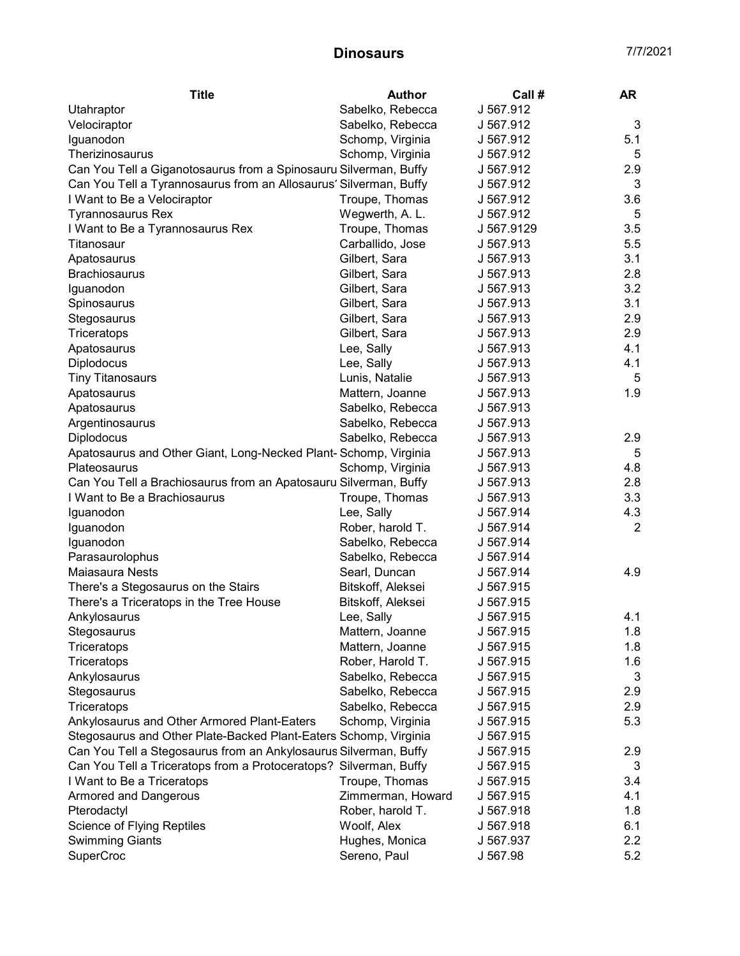| Sabelko, Rebecca<br>J 567.912<br>Utahraptor<br>3<br>Velociraptor<br>Sabelko, Rebecca<br>J 567.912<br>Iguanodon<br>Schomp, Virginia<br>J 567.912<br>5.1<br>Therizinosaurus<br>Schomp, Virginia<br>J 567.912<br>5<br>Can You Tell a Giganotosaurus from a Spinosauru Silverman, Buffy<br>J 567.912<br>2.9<br>3<br>Can You Tell a Tyrannosaurus from an Allosaurus' Silverman, Buffy<br>J 567.912<br>I Want to Be a Velociraptor<br>Troupe, Thomas<br>J 567.912<br>3.6<br>Wegwerth, A. L.<br>J 567.912<br>5<br><b>Tyrannosaurus Rex</b><br>Troupe, Thomas<br>3.5<br>I Want to Be a Tyrannosaurus Rex<br>J 567.9129<br>Carballido, Jose<br>J 567.913<br>5.5<br>Titanosaur<br>Gilbert, Sara<br>J 567.913<br>3.1<br>Apatosaurus<br>Brachiosaurus<br>Gilbert, Sara<br>J 567.913<br>2.8<br>3.2<br>Gilbert, Sara<br>Iguanodon<br>J 567.913<br>3.1<br>Gilbert, Sara<br>J 567.913<br>Spinosaurus<br>Gilbert, Sara<br>2.9<br>Stegosaurus<br>J 567.913<br>2.9<br>Gilbert, Sara<br>J 567.913<br>Triceratops<br>4.1<br>Lee, Sally<br>J 567.913<br>Apatosaurus<br>J 567.913<br>4.1<br>Diplodocus<br>Lee, Sally<br>Lunis, Natalie<br>J 567.913<br>5<br><b>Tiny Titanosaurs</b><br>J 567.913<br>1.9<br>Apatosaurus<br>Mattern, Joanne<br>Apatosaurus<br>Sabelko, Rebecca<br>J 567.913<br>Sabelko, Rebecca<br>J 567.913<br>Argentinosaurus<br><b>Diplodocus</b><br>Sabelko, Rebecca<br>J 567.913<br>2.9<br>Apatosaurus and Other Giant, Long-Necked Plant- Schomp, Virginia<br>5<br>J 567.913<br>Schomp, Virginia<br>4.8<br>Plateosaurus<br>J 567.913<br>Can You Tell a Brachiosaurus from an Apatosauru Silverman, Buffy<br>J 567.913<br>2.8<br>3.3<br>I Want to Be a Brachiosaurus<br>Troupe, Thomas<br>J 567.913<br>Iguanodon<br>Lee, Sally<br>4.3<br>J 567.914<br>Rober, harold T.<br>2<br>Iguanodon<br>J 567.914<br>Iguanodon<br>J 567.914<br>Sabelko, Rebecca<br>Parasaurolophus<br>J 567.914<br>Sabelko, Rebecca<br>Maiasaura Nests<br>Searl, Duncan<br>J 567.914<br>4.9<br>Bitskoff, Aleksei<br>J 567.915<br>There's a Stegosaurus on the Stairs<br>J 567.915<br>There's a Triceratops in the Tree House<br>Bitskoff, Aleksei<br>Lee, Sally<br>J 567.915<br>4.1<br>Ankylosaurus<br>1.8<br>J 567.915<br>Mattern, Joanne<br>Stegosaurus<br>Mattern, Joanne<br>J 567.915<br>1.8<br>Triceratops<br>Rober, Harold T.<br>1.6<br>Triceratops<br>J 567.915<br>3<br>Ankylosaurus<br>Sabelko, Rebecca<br>J 567.915<br>Sabelko, Rebecca<br>Stegosaurus<br>J 567.915<br>2.9<br>Sabelko, Rebecca<br>2.9<br>Triceratops<br>J 567.915<br>Schomp, Virginia<br>5.3<br>Ankylosaurus and Other Armored Plant-Eaters<br>J 567.915<br>Stegosaurus and Other Plate-Backed Plant-Eaters Schomp, Virginia<br>J 567.915<br>Can You Tell a Stegosaurus from an Ankylosaurus Silverman, Buffy<br>2.9<br>J 567.915<br>Can You Tell a Triceratops from a Protoceratops? Silverman, Buffy<br>J 567.915<br>3<br>I Want to Be a Triceratops<br>Troupe, Thomas<br>J 567.915<br>3.4<br>Zimmerman, Howard<br>4.1<br><b>Armored and Dangerous</b><br>J 567.915<br>Rober, harold T.<br>1.8<br>Pterodactyl<br>J 567.918<br>Science of Flying Reptiles<br>Woolf, Alex<br>6.1<br>J 567.918<br>Hughes, Monica<br>2.2<br><b>Swimming Giants</b><br>J 567.937 | <b>Title</b>     | <b>Author</b> | Call #   | <b>AR</b> |
|---------------------------------------------------------------------------------------------------------------------------------------------------------------------------------------------------------------------------------------------------------------------------------------------------------------------------------------------------------------------------------------------------------------------------------------------------------------------------------------------------------------------------------------------------------------------------------------------------------------------------------------------------------------------------------------------------------------------------------------------------------------------------------------------------------------------------------------------------------------------------------------------------------------------------------------------------------------------------------------------------------------------------------------------------------------------------------------------------------------------------------------------------------------------------------------------------------------------------------------------------------------------------------------------------------------------------------------------------------------------------------------------------------------------------------------------------------------------------------------------------------------------------------------------------------------------------------------------------------------------------------------------------------------------------------------------------------------------------------------------------------------------------------------------------------------------------------------------------------------------------------------------------------------------------------------------------------------------------------------------------------------------------------------------------------------------------------------------------------------------------------------------------------------------------------------------------------------------------------------------------------------------------------------------------------------------------------------------------------------------------------------------------------------------------------------------------------------------------------------------------------------------------------------------------------------------------------------------------------------------------------------------------------------------------------------------------------------------------------------------------------------------------------------------------------------------------------------------------------------------------------------------------------------------------------------------------------------------------------------------------------------------------------------------------------------------------------------------------------------------------------------------------------------------------------------------------------|------------------|---------------|----------|-----------|
|                                                                                                                                                                                                                                                                                                                                                                                                                                                                                                                                                                                                                                                                                                                                                                                                                                                                                                                                                                                                                                                                                                                                                                                                                                                                                                                                                                                                                                                                                                                                                                                                                                                                                                                                                                                                                                                                                                                                                                                                                                                                                                                                                                                                                                                                                                                                                                                                                                                                                                                                                                                                                                                                                                                                                                                                                                                                                                                                                                                                                                                                                                                                                                                                         |                  |               |          |           |
|                                                                                                                                                                                                                                                                                                                                                                                                                                                                                                                                                                                                                                                                                                                                                                                                                                                                                                                                                                                                                                                                                                                                                                                                                                                                                                                                                                                                                                                                                                                                                                                                                                                                                                                                                                                                                                                                                                                                                                                                                                                                                                                                                                                                                                                                                                                                                                                                                                                                                                                                                                                                                                                                                                                                                                                                                                                                                                                                                                                                                                                                                                                                                                                                         |                  |               |          |           |
|                                                                                                                                                                                                                                                                                                                                                                                                                                                                                                                                                                                                                                                                                                                                                                                                                                                                                                                                                                                                                                                                                                                                                                                                                                                                                                                                                                                                                                                                                                                                                                                                                                                                                                                                                                                                                                                                                                                                                                                                                                                                                                                                                                                                                                                                                                                                                                                                                                                                                                                                                                                                                                                                                                                                                                                                                                                                                                                                                                                                                                                                                                                                                                                                         |                  |               |          |           |
|                                                                                                                                                                                                                                                                                                                                                                                                                                                                                                                                                                                                                                                                                                                                                                                                                                                                                                                                                                                                                                                                                                                                                                                                                                                                                                                                                                                                                                                                                                                                                                                                                                                                                                                                                                                                                                                                                                                                                                                                                                                                                                                                                                                                                                                                                                                                                                                                                                                                                                                                                                                                                                                                                                                                                                                                                                                                                                                                                                                                                                                                                                                                                                                                         |                  |               |          |           |
|                                                                                                                                                                                                                                                                                                                                                                                                                                                                                                                                                                                                                                                                                                                                                                                                                                                                                                                                                                                                                                                                                                                                                                                                                                                                                                                                                                                                                                                                                                                                                                                                                                                                                                                                                                                                                                                                                                                                                                                                                                                                                                                                                                                                                                                                                                                                                                                                                                                                                                                                                                                                                                                                                                                                                                                                                                                                                                                                                                                                                                                                                                                                                                                                         |                  |               |          |           |
|                                                                                                                                                                                                                                                                                                                                                                                                                                                                                                                                                                                                                                                                                                                                                                                                                                                                                                                                                                                                                                                                                                                                                                                                                                                                                                                                                                                                                                                                                                                                                                                                                                                                                                                                                                                                                                                                                                                                                                                                                                                                                                                                                                                                                                                                                                                                                                                                                                                                                                                                                                                                                                                                                                                                                                                                                                                                                                                                                                                                                                                                                                                                                                                                         |                  |               |          |           |
|                                                                                                                                                                                                                                                                                                                                                                                                                                                                                                                                                                                                                                                                                                                                                                                                                                                                                                                                                                                                                                                                                                                                                                                                                                                                                                                                                                                                                                                                                                                                                                                                                                                                                                                                                                                                                                                                                                                                                                                                                                                                                                                                                                                                                                                                                                                                                                                                                                                                                                                                                                                                                                                                                                                                                                                                                                                                                                                                                                                                                                                                                                                                                                                                         |                  |               |          |           |
|                                                                                                                                                                                                                                                                                                                                                                                                                                                                                                                                                                                                                                                                                                                                                                                                                                                                                                                                                                                                                                                                                                                                                                                                                                                                                                                                                                                                                                                                                                                                                                                                                                                                                                                                                                                                                                                                                                                                                                                                                                                                                                                                                                                                                                                                                                                                                                                                                                                                                                                                                                                                                                                                                                                                                                                                                                                                                                                                                                                                                                                                                                                                                                                                         |                  |               |          |           |
|                                                                                                                                                                                                                                                                                                                                                                                                                                                                                                                                                                                                                                                                                                                                                                                                                                                                                                                                                                                                                                                                                                                                                                                                                                                                                                                                                                                                                                                                                                                                                                                                                                                                                                                                                                                                                                                                                                                                                                                                                                                                                                                                                                                                                                                                                                                                                                                                                                                                                                                                                                                                                                                                                                                                                                                                                                                                                                                                                                                                                                                                                                                                                                                                         |                  |               |          |           |
|                                                                                                                                                                                                                                                                                                                                                                                                                                                                                                                                                                                                                                                                                                                                                                                                                                                                                                                                                                                                                                                                                                                                                                                                                                                                                                                                                                                                                                                                                                                                                                                                                                                                                                                                                                                                                                                                                                                                                                                                                                                                                                                                                                                                                                                                                                                                                                                                                                                                                                                                                                                                                                                                                                                                                                                                                                                                                                                                                                                                                                                                                                                                                                                                         |                  |               |          |           |
|                                                                                                                                                                                                                                                                                                                                                                                                                                                                                                                                                                                                                                                                                                                                                                                                                                                                                                                                                                                                                                                                                                                                                                                                                                                                                                                                                                                                                                                                                                                                                                                                                                                                                                                                                                                                                                                                                                                                                                                                                                                                                                                                                                                                                                                                                                                                                                                                                                                                                                                                                                                                                                                                                                                                                                                                                                                                                                                                                                                                                                                                                                                                                                                                         |                  |               |          |           |
|                                                                                                                                                                                                                                                                                                                                                                                                                                                                                                                                                                                                                                                                                                                                                                                                                                                                                                                                                                                                                                                                                                                                                                                                                                                                                                                                                                                                                                                                                                                                                                                                                                                                                                                                                                                                                                                                                                                                                                                                                                                                                                                                                                                                                                                                                                                                                                                                                                                                                                                                                                                                                                                                                                                                                                                                                                                                                                                                                                                                                                                                                                                                                                                                         |                  |               |          |           |
|                                                                                                                                                                                                                                                                                                                                                                                                                                                                                                                                                                                                                                                                                                                                                                                                                                                                                                                                                                                                                                                                                                                                                                                                                                                                                                                                                                                                                                                                                                                                                                                                                                                                                                                                                                                                                                                                                                                                                                                                                                                                                                                                                                                                                                                                                                                                                                                                                                                                                                                                                                                                                                                                                                                                                                                                                                                                                                                                                                                                                                                                                                                                                                                                         |                  |               |          |           |
|                                                                                                                                                                                                                                                                                                                                                                                                                                                                                                                                                                                                                                                                                                                                                                                                                                                                                                                                                                                                                                                                                                                                                                                                                                                                                                                                                                                                                                                                                                                                                                                                                                                                                                                                                                                                                                                                                                                                                                                                                                                                                                                                                                                                                                                                                                                                                                                                                                                                                                                                                                                                                                                                                                                                                                                                                                                                                                                                                                                                                                                                                                                                                                                                         |                  |               |          |           |
|                                                                                                                                                                                                                                                                                                                                                                                                                                                                                                                                                                                                                                                                                                                                                                                                                                                                                                                                                                                                                                                                                                                                                                                                                                                                                                                                                                                                                                                                                                                                                                                                                                                                                                                                                                                                                                                                                                                                                                                                                                                                                                                                                                                                                                                                                                                                                                                                                                                                                                                                                                                                                                                                                                                                                                                                                                                                                                                                                                                                                                                                                                                                                                                                         |                  |               |          |           |
|                                                                                                                                                                                                                                                                                                                                                                                                                                                                                                                                                                                                                                                                                                                                                                                                                                                                                                                                                                                                                                                                                                                                                                                                                                                                                                                                                                                                                                                                                                                                                                                                                                                                                                                                                                                                                                                                                                                                                                                                                                                                                                                                                                                                                                                                                                                                                                                                                                                                                                                                                                                                                                                                                                                                                                                                                                                                                                                                                                                                                                                                                                                                                                                                         |                  |               |          |           |
|                                                                                                                                                                                                                                                                                                                                                                                                                                                                                                                                                                                                                                                                                                                                                                                                                                                                                                                                                                                                                                                                                                                                                                                                                                                                                                                                                                                                                                                                                                                                                                                                                                                                                                                                                                                                                                                                                                                                                                                                                                                                                                                                                                                                                                                                                                                                                                                                                                                                                                                                                                                                                                                                                                                                                                                                                                                                                                                                                                                                                                                                                                                                                                                                         |                  |               |          |           |
|                                                                                                                                                                                                                                                                                                                                                                                                                                                                                                                                                                                                                                                                                                                                                                                                                                                                                                                                                                                                                                                                                                                                                                                                                                                                                                                                                                                                                                                                                                                                                                                                                                                                                                                                                                                                                                                                                                                                                                                                                                                                                                                                                                                                                                                                                                                                                                                                                                                                                                                                                                                                                                                                                                                                                                                                                                                                                                                                                                                                                                                                                                                                                                                                         |                  |               |          |           |
|                                                                                                                                                                                                                                                                                                                                                                                                                                                                                                                                                                                                                                                                                                                                                                                                                                                                                                                                                                                                                                                                                                                                                                                                                                                                                                                                                                                                                                                                                                                                                                                                                                                                                                                                                                                                                                                                                                                                                                                                                                                                                                                                                                                                                                                                                                                                                                                                                                                                                                                                                                                                                                                                                                                                                                                                                                                                                                                                                                                                                                                                                                                                                                                                         |                  |               |          |           |
|                                                                                                                                                                                                                                                                                                                                                                                                                                                                                                                                                                                                                                                                                                                                                                                                                                                                                                                                                                                                                                                                                                                                                                                                                                                                                                                                                                                                                                                                                                                                                                                                                                                                                                                                                                                                                                                                                                                                                                                                                                                                                                                                                                                                                                                                                                                                                                                                                                                                                                                                                                                                                                                                                                                                                                                                                                                                                                                                                                                                                                                                                                                                                                                                         |                  |               |          |           |
|                                                                                                                                                                                                                                                                                                                                                                                                                                                                                                                                                                                                                                                                                                                                                                                                                                                                                                                                                                                                                                                                                                                                                                                                                                                                                                                                                                                                                                                                                                                                                                                                                                                                                                                                                                                                                                                                                                                                                                                                                                                                                                                                                                                                                                                                                                                                                                                                                                                                                                                                                                                                                                                                                                                                                                                                                                                                                                                                                                                                                                                                                                                                                                                                         |                  |               |          |           |
|                                                                                                                                                                                                                                                                                                                                                                                                                                                                                                                                                                                                                                                                                                                                                                                                                                                                                                                                                                                                                                                                                                                                                                                                                                                                                                                                                                                                                                                                                                                                                                                                                                                                                                                                                                                                                                                                                                                                                                                                                                                                                                                                                                                                                                                                                                                                                                                                                                                                                                                                                                                                                                                                                                                                                                                                                                                                                                                                                                                                                                                                                                                                                                                                         |                  |               |          |           |
|                                                                                                                                                                                                                                                                                                                                                                                                                                                                                                                                                                                                                                                                                                                                                                                                                                                                                                                                                                                                                                                                                                                                                                                                                                                                                                                                                                                                                                                                                                                                                                                                                                                                                                                                                                                                                                                                                                                                                                                                                                                                                                                                                                                                                                                                                                                                                                                                                                                                                                                                                                                                                                                                                                                                                                                                                                                                                                                                                                                                                                                                                                                                                                                                         |                  |               |          |           |
|                                                                                                                                                                                                                                                                                                                                                                                                                                                                                                                                                                                                                                                                                                                                                                                                                                                                                                                                                                                                                                                                                                                                                                                                                                                                                                                                                                                                                                                                                                                                                                                                                                                                                                                                                                                                                                                                                                                                                                                                                                                                                                                                                                                                                                                                                                                                                                                                                                                                                                                                                                                                                                                                                                                                                                                                                                                                                                                                                                                                                                                                                                                                                                                                         |                  |               |          |           |
|                                                                                                                                                                                                                                                                                                                                                                                                                                                                                                                                                                                                                                                                                                                                                                                                                                                                                                                                                                                                                                                                                                                                                                                                                                                                                                                                                                                                                                                                                                                                                                                                                                                                                                                                                                                                                                                                                                                                                                                                                                                                                                                                                                                                                                                                                                                                                                                                                                                                                                                                                                                                                                                                                                                                                                                                                                                                                                                                                                                                                                                                                                                                                                                                         |                  |               |          |           |
|                                                                                                                                                                                                                                                                                                                                                                                                                                                                                                                                                                                                                                                                                                                                                                                                                                                                                                                                                                                                                                                                                                                                                                                                                                                                                                                                                                                                                                                                                                                                                                                                                                                                                                                                                                                                                                                                                                                                                                                                                                                                                                                                                                                                                                                                                                                                                                                                                                                                                                                                                                                                                                                                                                                                                                                                                                                                                                                                                                                                                                                                                                                                                                                                         |                  |               |          |           |
|                                                                                                                                                                                                                                                                                                                                                                                                                                                                                                                                                                                                                                                                                                                                                                                                                                                                                                                                                                                                                                                                                                                                                                                                                                                                                                                                                                                                                                                                                                                                                                                                                                                                                                                                                                                                                                                                                                                                                                                                                                                                                                                                                                                                                                                                                                                                                                                                                                                                                                                                                                                                                                                                                                                                                                                                                                                                                                                                                                                                                                                                                                                                                                                                         |                  |               |          |           |
|                                                                                                                                                                                                                                                                                                                                                                                                                                                                                                                                                                                                                                                                                                                                                                                                                                                                                                                                                                                                                                                                                                                                                                                                                                                                                                                                                                                                                                                                                                                                                                                                                                                                                                                                                                                                                                                                                                                                                                                                                                                                                                                                                                                                                                                                                                                                                                                                                                                                                                                                                                                                                                                                                                                                                                                                                                                                                                                                                                                                                                                                                                                                                                                                         |                  |               |          |           |
|                                                                                                                                                                                                                                                                                                                                                                                                                                                                                                                                                                                                                                                                                                                                                                                                                                                                                                                                                                                                                                                                                                                                                                                                                                                                                                                                                                                                                                                                                                                                                                                                                                                                                                                                                                                                                                                                                                                                                                                                                                                                                                                                                                                                                                                                                                                                                                                                                                                                                                                                                                                                                                                                                                                                                                                                                                                                                                                                                                                                                                                                                                                                                                                                         |                  |               |          |           |
|                                                                                                                                                                                                                                                                                                                                                                                                                                                                                                                                                                                                                                                                                                                                                                                                                                                                                                                                                                                                                                                                                                                                                                                                                                                                                                                                                                                                                                                                                                                                                                                                                                                                                                                                                                                                                                                                                                                                                                                                                                                                                                                                                                                                                                                                                                                                                                                                                                                                                                                                                                                                                                                                                                                                                                                                                                                                                                                                                                                                                                                                                                                                                                                                         |                  |               |          |           |
|                                                                                                                                                                                                                                                                                                                                                                                                                                                                                                                                                                                                                                                                                                                                                                                                                                                                                                                                                                                                                                                                                                                                                                                                                                                                                                                                                                                                                                                                                                                                                                                                                                                                                                                                                                                                                                                                                                                                                                                                                                                                                                                                                                                                                                                                                                                                                                                                                                                                                                                                                                                                                                                                                                                                                                                                                                                                                                                                                                                                                                                                                                                                                                                                         |                  |               |          |           |
|                                                                                                                                                                                                                                                                                                                                                                                                                                                                                                                                                                                                                                                                                                                                                                                                                                                                                                                                                                                                                                                                                                                                                                                                                                                                                                                                                                                                                                                                                                                                                                                                                                                                                                                                                                                                                                                                                                                                                                                                                                                                                                                                                                                                                                                                                                                                                                                                                                                                                                                                                                                                                                                                                                                                                                                                                                                                                                                                                                                                                                                                                                                                                                                                         |                  |               |          |           |
|                                                                                                                                                                                                                                                                                                                                                                                                                                                                                                                                                                                                                                                                                                                                                                                                                                                                                                                                                                                                                                                                                                                                                                                                                                                                                                                                                                                                                                                                                                                                                                                                                                                                                                                                                                                                                                                                                                                                                                                                                                                                                                                                                                                                                                                                                                                                                                                                                                                                                                                                                                                                                                                                                                                                                                                                                                                                                                                                                                                                                                                                                                                                                                                                         |                  |               |          |           |
|                                                                                                                                                                                                                                                                                                                                                                                                                                                                                                                                                                                                                                                                                                                                                                                                                                                                                                                                                                                                                                                                                                                                                                                                                                                                                                                                                                                                                                                                                                                                                                                                                                                                                                                                                                                                                                                                                                                                                                                                                                                                                                                                                                                                                                                                                                                                                                                                                                                                                                                                                                                                                                                                                                                                                                                                                                                                                                                                                                                                                                                                                                                                                                                                         |                  |               |          |           |
|                                                                                                                                                                                                                                                                                                                                                                                                                                                                                                                                                                                                                                                                                                                                                                                                                                                                                                                                                                                                                                                                                                                                                                                                                                                                                                                                                                                                                                                                                                                                                                                                                                                                                                                                                                                                                                                                                                                                                                                                                                                                                                                                                                                                                                                                                                                                                                                                                                                                                                                                                                                                                                                                                                                                                                                                                                                                                                                                                                                                                                                                                                                                                                                                         |                  |               |          |           |
|                                                                                                                                                                                                                                                                                                                                                                                                                                                                                                                                                                                                                                                                                                                                                                                                                                                                                                                                                                                                                                                                                                                                                                                                                                                                                                                                                                                                                                                                                                                                                                                                                                                                                                                                                                                                                                                                                                                                                                                                                                                                                                                                                                                                                                                                                                                                                                                                                                                                                                                                                                                                                                                                                                                                                                                                                                                                                                                                                                                                                                                                                                                                                                                                         |                  |               |          |           |
|                                                                                                                                                                                                                                                                                                                                                                                                                                                                                                                                                                                                                                                                                                                                                                                                                                                                                                                                                                                                                                                                                                                                                                                                                                                                                                                                                                                                                                                                                                                                                                                                                                                                                                                                                                                                                                                                                                                                                                                                                                                                                                                                                                                                                                                                                                                                                                                                                                                                                                                                                                                                                                                                                                                                                                                                                                                                                                                                                                                                                                                                                                                                                                                                         |                  |               |          |           |
|                                                                                                                                                                                                                                                                                                                                                                                                                                                                                                                                                                                                                                                                                                                                                                                                                                                                                                                                                                                                                                                                                                                                                                                                                                                                                                                                                                                                                                                                                                                                                                                                                                                                                                                                                                                                                                                                                                                                                                                                                                                                                                                                                                                                                                                                                                                                                                                                                                                                                                                                                                                                                                                                                                                                                                                                                                                                                                                                                                                                                                                                                                                                                                                                         |                  |               |          |           |
|                                                                                                                                                                                                                                                                                                                                                                                                                                                                                                                                                                                                                                                                                                                                                                                                                                                                                                                                                                                                                                                                                                                                                                                                                                                                                                                                                                                                                                                                                                                                                                                                                                                                                                                                                                                                                                                                                                                                                                                                                                                                                                                                                                                                                                                                                                                                                                                                                                                                                                                                                                                                                                                                                                                                                                                                                                                                                                                                                                                                                                                                                                                                                                                                         |                  |               |          |           |
|                                                                                                                                                                                                                                                                                                                                                                                                                                                                                                                                                                                                                                                                                                                                                                                                                                                                                                                                                                                                                                                                                                                                                                                                                                                                                                                                                                                                                                                                                                                                                                                                                                                                                                                                                                                                                                                                                                                                                                                                                                                                                                                                                                                                                                                                                                                                                                                                                                                                                                                                                                                                                                                                                                                                                                                                                                                                                                                                                                                                                                                                                                                                                                                                         |                  |               |          |           |
|                                                                                                                                                                                                                                                                                                                                                                                                                                                                                                                                                                                                                                                                                                                                                                                                                                                                                                                                                                                                                                                                                                                                                                                                                                                                                                                                                                                                                                                                                                                                                                                                                                                                                                                                                                                                                                                                                                                                                                                                                                                                                                                                                                                                                                                                                                                                                                                                                                                                                                                                                                                                                                                                                                                                                                                                                                                                                                                                                                                                                                                                                                                                                                                                         |                  |               |          |           |
|                                                                                                                                                                                                                                                                                                                                                                                                                                                                                                                                                                                                                                                                                                                                                                                                                                                                                                                                                                                                                                                                                                                                                                                                                                                                                                                                                                                                                                                                                                                                                                                                                                                                                                                                                                                                                                                                                                                                                                                                                                                                                                                                                                                                                                                                                                                                                                                                                                                                                                                                                                                                                                                                                                                                                                                                                                                                                                                                                                                                                                                                                                                                                                                                         |                  |               |          |           |
|                                                                                                                                                                                                                                                                                                                                                                                                                                                                                                                                                                                                                                                                                                                                                                                                                                                                                                                                                                                                                                                                                                                                                                                                                                                                                                                                                                                                                                                                                                                                                                                                                                                                                                                                                                                                                                                                                                                                                                                                                                                                                                                                                                                                                                                                                                                                                                                                                                                                                                                                                                                                                                                                                                                                                                                                                                                                                                                                                                                                                                                                                                                                                                                                         |                  |               |          |           |
|                                                                                                                                                                                                                                                                                                                                                                                                                                                                                                                                                                                                                                                                                                                                                                                                                                                                                                                                                                                                                                                                                                                                                                                                                                                                                                                                                                                                                                                                                                                                                                                                                                                                                                                                                                                                                                                                                                                                                                                                                                                                                                                                                                                                                                                                                                                                                                                                                                                                                                                                                                                                                                                                                                                                                                                                                                                                                                                                                                                                                                                                                                                                                                                                         |                  |               |          |           |
|                                                                                                                                                                                                                                                                                                                                                                                                                                                                                                                                                                                                                                                                                                                                                                                                                                                                                                                                                                                                                                                                                                                                                                                                                                                                                                                                                                                                                                                                                                                                                                                                                                                                                                                                                                                                                                                                                                                                                                                                                                                                                                                                                                                                                                                                                                                                                                                                                                                                                                                                                                                                                                                                                                                                                                                                                                                                                                                                                                                                                                                                                                                                                                                                         |                  |               |          |           |
|                                                                                                                                                                                                                                                                                                                                                                                                                                                                                                                                                                                                                                                                                                                                                                                                                                                                                                                                                                                                                                                                                                                                                                                                                                                                                                                                                                                                                                                                                                                                                                                                                                                                                                                                                                                                                                                                                                                                                                                                                                                                                                                                                                                                                                                                                                                                                                                                                                                                                                                                                                                                                                                                                                                                                                                                                                                                                                                                                                                                                                                                                                                                                                                                         |                  |               |          |           |
|                                                                                                                                                                                                                                                                                                                                                                                                                                                                                                                                                                                                                                                                                                                                                                                                                                                                                                                                                                                                                                                                                                                                                                                                                                                                                                                                                                                                                                                                                                                                                                                                                                                                                                                                                                                                                                                                                                                                                                                                                                                                                                                                                                                                                                                                                                                                                                                                                                                                                                                                                                                                                                                                                                                                                                                                                                                                                                                                                                                                                                                                                                                                                                                                         |                  |               |          |           |
|                                                                                                                                                                                                                                                                                                                                                                                                                                                                                                                                                                                                                                                                                                                                                                                                                                                                                                                                                                                                                                                                                                                                                                                                                                                                                                                                                                                                                                                                                                                                                                                                                                                                                                                                                                                                                                                                                                                                                                                                                                                                                                                                                                                                                                                                                                                                                                                                                                                                                                                                                                                                                                                                                                                                                                                                                                                                                                                                                                                                                                                                                                                                                                                                         |                  |               |          |           |
|                                                                                                                                                                                                                                                                                                                                                                                                                                                                                                                                                                                                                                                                                                                                                                                                                                                                                                                                                                                                                                                                                                                                                                                                                                                                                                                                                                                                                                                                                                                                                                                                                                                                                                                                                                                                                                                                                                                                                                                                                                                                                                                                                                                                                                                                                                                                                                                                                                                                                                                                                                                                                                                                                                                                                                                                                                                                                                                                                                                                                                                                                                                                                                                                         |                  |               |          |           |
|                                                                                                                                                                                                                                                                                                                                                                                                                                                                                                                                                                                                                                                                                                                                                                                                                                                                                                                                                                                                                                                                                                                                                                                                                                                                                                                                                                                                                                                                                                                                                                                                                                                                                                                                                                                                                                                                                                                                                                                                                                                                                                                                                                                                                                                                                                                                                                                                                                                                                                                                                                                                                                                                                                                                                                                                                                                                                                                                                                                                                                                                                                                                                                                                         |                  |               |          |           |
|                                                                                                                                                                                                                                                                                                                                                                                                                                                                                                                                                                                                                                                                                                                                                                                                                                                                                                                                                                                                                                                                                                                                                                                                                                                                                                                                                                                                                                                                                                                                                                                                                                                                                                                                                                                                                                                                                                                                                                                                                                                                                                                                                                                                                                                                                                                                                                                                                                                                                                                                                                                                                                                                                                                                                                                                                                                                                                                                                                                                                                                                                                                                                                                                         | <b>SuperCroc</b> | Sereno, Paul  | J 567.98 | 5.2       |